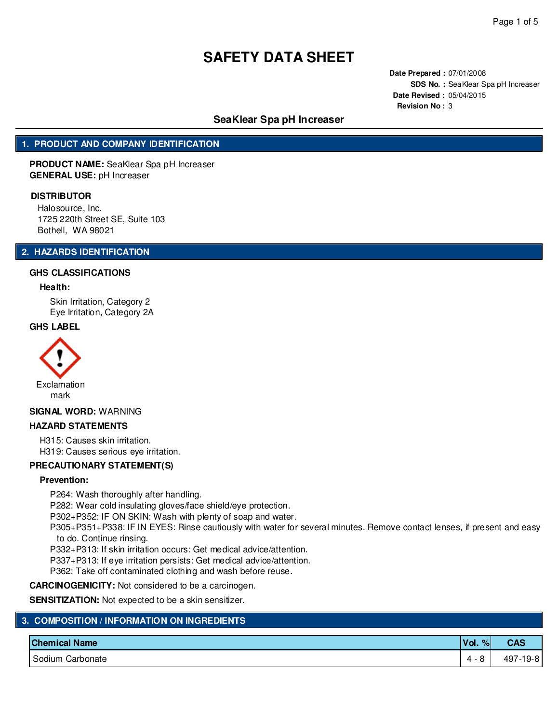**Date Prepared :** 07/01/2008 **SDS No. :** SeaKlear Spa pH Increaser **Date Revised :** 05/04/2015 **Revision No :** 3

# **SeaKlear Spa pH Increaser**

# **1. PRODUCT AND COMPANY IDENTIFICATION**

**PRODUCT NAME:** SeaKlear Spa pH Increaser **GENERAL USE:** pH Increaser

#### **DISTRIBUTOR**

Halosource, Inc. 1725 220th Street SE, Suite 103 Bothell, WA 98021

# **2. HAZARDS IDENTIFICATION**

#### **GHS CLASSIFICATIONS**

#### **Health:**

Skin Irritation, Category 2 Eye Irritation, Category 2A

#### **GHS LABEL**



#### **SIGNAL WORD:** WARNING

#### **HAZARD STATEMENTS**

H315: Causes skin irritation. H319: Causes serious eye irritation.

#### **PRECAUTIONARY STATEMENT(S)**

#### **Prevention:**

P264: Wash thoroughly after handling.

P282: Wear cold insulating gloves/face shield/eye protection.

P302+P352: IF ON SKIN: Wash with plenty of soap and water.

P305+P351+P338: IF IN EYES: Rinse cautiously with water for several minutes. Remove contact lenses, if present and easy to do. Continue rinsing.

P332+P313: If skin irritation occurs: Get medical advice/attention.

P337+P313: If eye irritation persists: Get medical advice/attention.

P362: Take off contaminated clothing and wash before reuse.

**CARCINOGENICITY:** Not considered to be a carcinogen.

**SENSITIZATION:** Not expected to be a skin sensitizer.

| 3. COMPOSITION / INFORMATION ON INGREDIENTS |                      |              |            |  |  |  |  |
|---------------------------------------------|----------------------|--------------|------------|--|--|--|--|
|                                             | <b>Chemical Name</b> | Vol.<br>$\%$ | <b>CAS</b> |  |  |  |  |
|                                             | I Sodium Carbonate   | 4 - 8        | 497-19-81  |  |  |  |  |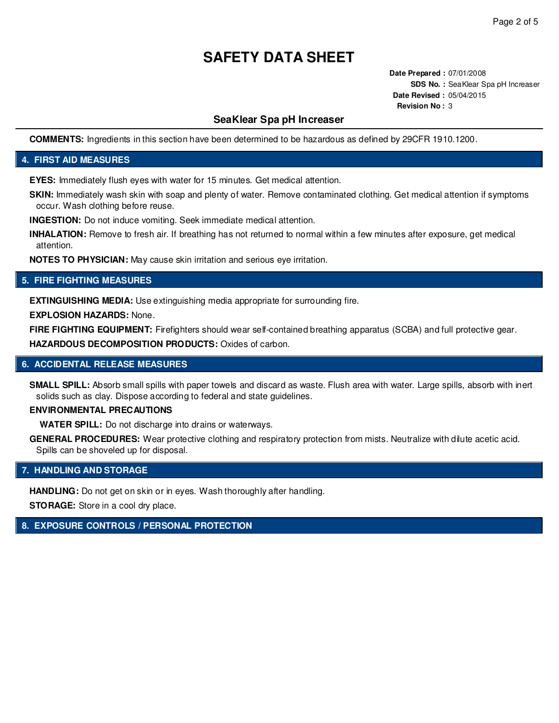**Date Prepared :** 07/01/2008 **SDS No. :** SeaKlear Spa pH Increaser **Date Revised :** 05/04/2015 **Revision No :** 3

# **SeaKlear Spa pH Increaser**

**COMMENTS:** Ingredients in this section have been determined to be hazardous as defined by 29CFR 1910.1200.

# **4. FIRST AID MEASURES**

**EYES:** Immediately flush eyes with water for 15 minutes. Get medical attention.

**SKIN:** Immediately wash skin with soap and plenty of water. Remove contaminated clothing. Get medical attention if symptoms occur. Wash clothing before reuse.

**INGESTION:** Do not induce vomiting. Seek immediate medical attention.

**INHALATION:** Remove to fresh air. If breathing has not returned to normal within a few minutes after exposure, get medical attention.

**NOTES TO PHYSICIAN:** May cause skin irritation and serious eye irritation.

# **5. FIRE FIGHTING MEASURES**

**EXTINGUISHING MEDIA:** Use extinguishing media appropriate for surrounding fire.

**EXPLOSION HAZARDS:** None.

**FIRE FIGHTING EQUIPMENT:** Firefighters should wear self-contained breathing apparatus (SCBA) and full protective gear. **HAZARDOUS DECOMPOSITION PRODUCTS:** Oxides of carbon.

# **6. ACCIDENTAL RELEASE MEASURES**

**SMALL SPILL:** Absorb small spills with paper towels and discard as waste. Flush area with water. Large spills, absorb with inert solids such as clay. Dispose according to federal and state guidelines.

# **ENVIRONMENTAL PRECAUTIONS**

**WATER SPILL:** Do not discharge into drains or waterways.

**GENERAL PROCEDURES:** Wear protective clothing and respiratory protection from mists. Neutralize with dilute acetic acid. Spills can be shoveled up for disposal.

# **7. HANDLING AND STORAGE**

**HANDLING:** Do not get on skin or in eyes. Wash thoroughly after handling.

**STORAGE:** Store in a cool dry place.

# **8. EXPOSURE CONTROLS / PERSONAL PROTECTION**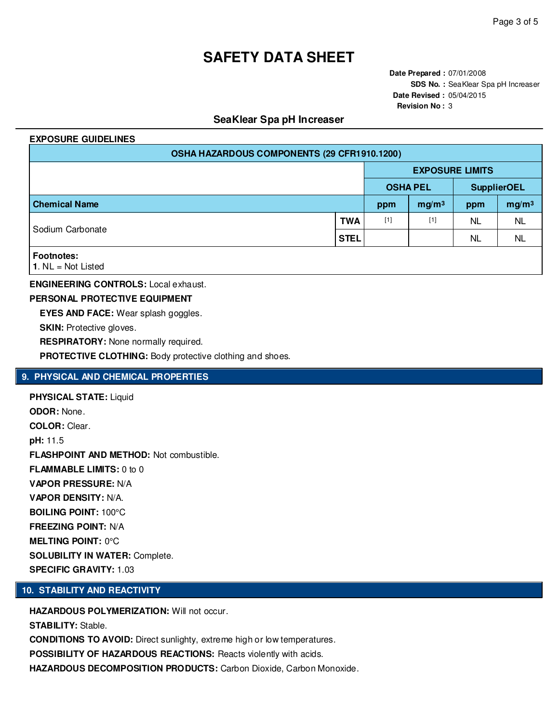**Date Prepared :** 07/01/2008 **SDS No. :** SeaKlear Spa pH Increaser **Date Revised :** 05/04/2015 **Revision No :** 3

# **SeaKlear Spa pH Increaser**

#### **EXPOSURE GUIDELINES**

| OSHA HAZARDOUS COMPONENTS (29 CFR1910.1200) |             |                        |                   |           |                    |  |  |  |
|---------------------------------------------|-------------|------------------------|-------------------|-----------|--------------------|--|--|--|
|                                             |             | <b>EXPOSURE LIMITS</b> |                   |           |                    |  |  |  |
|                                             |             |                        | <b>OSHA PEL</b>   |           | <b>SupplierOEL</b> |  |  |  |
| <b>Chemical Name</b>                        |             |                        | mg/m <sup>3</sup> | ppm       | mg/m <sup>3</sup>  |  |  |  |
| Sodium Carbonate                            | <b>TWA</b>  | $[1]$                  | $[1]$             | <b>NL</b> | <b>NL</b>          |  |  |  |
|                                             | <b>STEL</b> |                        |                   | <b>NL</b> | <b>NL</b>          |  |  |  |
| <b>Footnotes:</b><br>1. $NL = Not$ Listed   |             |                        |                   |           |                    |  |  |  |

#### **ENGINEERING CONTROLS:** Local exhaust.

**PERSONAL PROTECTIVE EQUIPMENT**

**EYES AND FACE:** Wear splash goggles.

**SKIN:** Protective gloves.

**RESPIRATORY:** None normally required.

**PROTECTIVE CLOTHING:** Body protective clothing and shoes.

# **9. PHYSICAL AND CHEMICAL PROPERTIES**

**PHYSICAL STATE:** Liquid **ODOR:** None. **COLOR:** Clear. **pH:** 11.5 **FLASHPOINT AND METHOD:** Not combustible. **FLAMMABLE LIMITS:** 0 to 0 **VAPOR PRESSURE:** N/A **VAPOR DENSITY:** N/A. **BOILING POINT:** 100°C **FREEZING POINT:** N/A **MELTING POINT:** 0°C **SOLUBILITY IN WATER:** Complete. **SPECIFIC GRAVITY:** 1.03

# **10. STABILITY AND REACTIVITY**

**HAZARDOUS POLYMERIZATION:** Will not occur. **STABILITY:** Stable. **CONDITIONS TO AVOID:** Direct sunlighty, extreme high or low temperatures. **POSSIBILITY OF HAZARDOUS REACTIONS:** Reacts violently with acids. **HAZARDOUS DECOMPOSITION PRODUCTS:** Carbon Dioxide, Carbon Monoxide.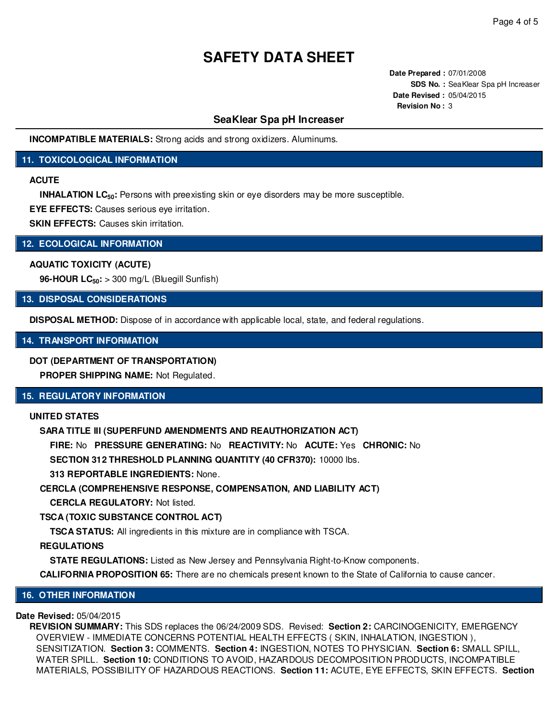**Date Prepared :** 07/01/2008 **SDS No. :** SeaKlear Spa pH Increaser **Date Revised :** 05/04/2015 **Revision No :** 3

# **SeaKlear Spa pH Increaser**

**INCOMPATIBLE MATERIALS:** Strong acids and strong oxidizers. Aluminums.

# **11. TOXICOLOGICAL INFORMATION**

# **ACUTE**

**INHALATION LC<sub>50</sub>**: Persons with preexisting skin or eye disorders may be more susceptible.

**EYE EFFECTS:** Causes serious eye irritation.

**SKIN EFFECTS:** Causes skin irritation.

#### **12. ECOLOGICAL INFORMATION**

#### **AQUATIC TOXICITY (ACUTE)**

**96-HOUR LC50:** > 300 mg/L (Bluegill Sunfish)

# **13. DISPOSAL CONSIDERATIONS**

**DISPOSAL METHOD:** Dispose of in accordance with applicable local, state, and federal regulations.

# **14. TRANSPORT INFORMATION**

### **DOT (DEPARTMENT OF TRANSPORTATION)**

**PROPER SHIPPING NAME:** Not Regulated.

### **15. REGULATORY INFORMATION**

# **UNITED STATES**

# **SARA TITLE III (SUPERFUND AMENDMENTS AND REAUTHORIZATION ACT)**

**FIRE:** No **PRESSURE GENERATING:** No **REACTIVITY:** No **ACUTE:** Yes **CHRONIC:** No

**SECTION 312 THRESHOLD PLANNING QUANTITY (40 CFR370):** 10000 lbs.

**313 REPORTABLE INGREDIENTS:** None.

# **CERCLA (COMPREHENSIVE RESPONSE, COMPENSATION, AND LIABILITY ACT)**

**CERCLA REGULATORY:** Not listed.

# **TSCA (TOXIC SUBSTANCE CONTROL ACT)**

**TSCA STATUS:** All ingredients in this mixture are in compliance with TSCA.

# **REGULATIONS**

**STATE REGULATIONS:** Listed as New Jersey and Pennsylvania Right-to-Know components.

**CALIFORNIA PROPOSITION 65:** There are no chemicals present known to the State of California to cause cancer.

# **16. OTHER INFORMATION**

# **Date Revised:** 05/04/2015

**REVISION SUMMARY:** This SDS replaces the 06/24/2009 SDS. Revised: **Section 2:** CARCINOGENICITY, EMERGENCY OVERVIEW - IMMEDIATE CONCERNS POTENTIAL HEALTH EFFECTS ( SKIN, INHALATION, INGESTION ), SENSITIZATION. **Section 3:** COMMENTS. **Section 4:** INGESTION, NOTES TO PHYSICIAN. **Section 6:** SMALL SPILL, WATER SPILL. **Section 10:** CONDITIONS TO AVOID, HAZARDOUS DECOMPOSITION PRODUCTS, INCOMPATIBLE MATERIALS, POSSIBILITY OF HAZARDOUS REACTIONS. **Section 11:** ACUTE, EYE EFFECTS, SKIN EFFECTS. **Section**